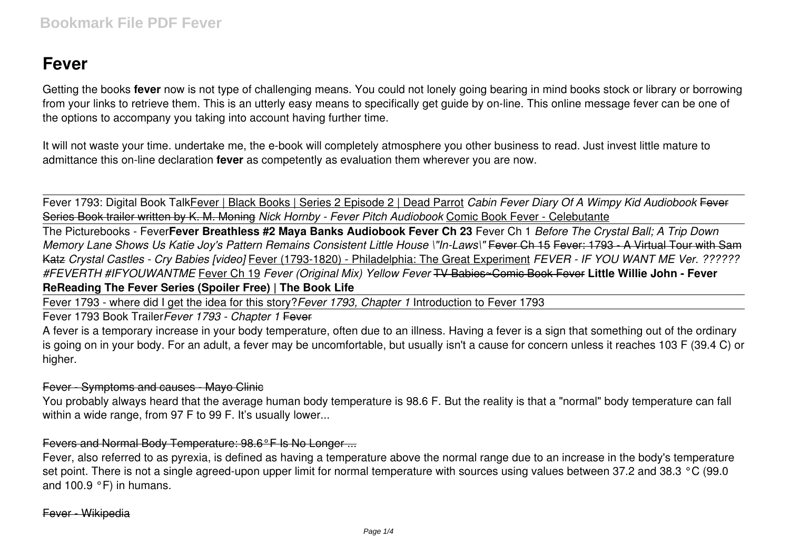# **Fever**

Getting the books **fever** now is not type of challenging means. You could not lonely going bearing in mind books stock or library or borrowing from your links to retrieve them. This is an utterly easy means to specifically get guide by on-line. This online message fever can be one of the options to accompany you taking into account having further time.

It will not waste your time. undertake me, the e-book will completely atmosphere you other business to read. Just invest little mature to admittance this on-line declaration **fever** as competently as evaluation them wherever you are now.

Fever 1793: Digital Book TalkFever | Black Books | Series 2 Episode 2 | Dead Parrot *Cabin Fever Diary Of A Wimpy Kid Audiobook* Fever Series Book trailer written by K. M. Moning *Nick Hornby - Fever Pitch Audiobook* Comic Book Fever - Celebutante

The Picturebooks - Fever**Fever Breathless #2 Maya Banks Audiobook Fever Ch 23** Fever Ch 1 *Before The Crystal Ball; A Trip Down Memory Lane Shows Us Katie Joy's Pattern Remains Consistent Little House \"In-Laws\"* Fever Ch 15 Fever: 1793 - A Virtual Tour with Sam Katz *Crystal Castles - Cry Babies [video]* Fever (1793-1820) - Philadelphia: The Great Experiment *FEVER - IF YOU WANT ME Ver. ?????? #FEVERTH #IFYOUWANTME* Fever Ch 19 *Fever (Original Mix) Yellow Fever* TV Babies~Comic Book Fever **Little Willie John - Fever ReReading The Fever Series (Spoiler Free) | The Book Life**

Fever 1793 - where did I get the idea for this story?*Fever 1793, Chapter 1* Introduction to Fever 1793

Fever 1793 Book Trailer*Fever 1793 - Chapter 1* Fever

A fever is a temporary increase in your body temperature, often due to an illness. Having a fever is a sign that something out of the ordinary is going on in your body. For an adult, a fever may be uncomfortable, but usually isn't a cause for concern unless it reaches 103 F (39.4 C) or higher.

# Fever - Symptoms and causes - Mayo Clinic

You probably always heard that the average human body temperature is 98.6 F. But the reality is that a "normal" body temperature can fall within a wide range, from 97 F to 99 F. It's usually lower...

# Fevers and Normal Body Temperature: 98.6°F Is No Longer ...

Fever, also referred to as pyrexia, is defined as having a temperature above the normal range due to an increase in the body's temperature set point. There is not a single agreed-upon upper limit for normal temperature with sources using values between 37.2 and 38.3 °C (99.0) and 100.9 °F) in humans.

Fever - Wikipedia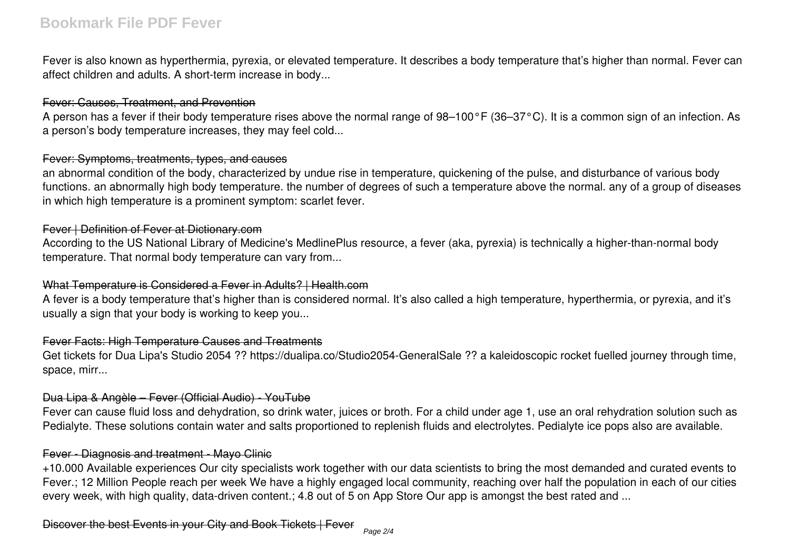# **Bookmark File PDF Fever**

Fever is also known as hyperthermia, pyrexia, or elevated temperature. It describes a body temperature that's higher than normal. Fever can affect children and adults. A short-term increase in body...

#### Fever: Causes, Treatment, and Prevention

A person has a fever if their body temperature rises above the normal range of 98–100°F (36–37°C). It is a common sign of an infection. As a person's body temperature increases, they may feel cold...

#### Fever: Symptoms, treatments, types, and causes

an abnormal condition of the body, characterized by undue rise in temperature, quickening of the pulse, and disturbance of various body functions. an abnormally high body temperature. the number of degrees of such a temperature above the normal. any of a group of diseases in which high temperature is a prominent symptom: scarlet fever.

### Fever | Definition of Fever at Dictionary.com

According to the US National Library of Medicine's MedlinePlus resource, a fever (aka, pyrexia) is technically a higher-than-normal body temperature. That normal body temperature can vary from...

#### What Temperature is Considered a Fever in Adults? | Health.com

A fever is a body temperature that's higher than is considered normal. It's also called a high temperature, hyperthermia, or pyrexia, and it's usually a sign that your body is working to keep you...

# Fever Facts: High Temperature Causes and Treatments

Get tickets for Dua Lipa's Studio 2054 ?? https://dualipa.co/Studio2054-GeneralSale ?? a kaleidoscopic rocket fuelled journey through time, space, mirr...

# Dua Lipa & Angèle – Fever (Official Audio) - YouTube

Fever can cause fluid loss and dehydration, so drink water, juices or broth. For a child under age 1, use an oral rehydration solution such as Pedialyte. These solutions contain water and salts proportioned to replenish fluids and electrolytes. Pedialyte ice pops also are available.

#### Fever - Diagnosis and treatment - Mayo Clinic

+10.000 Available experiences Our city specialists work together with our data scientists to bring the most demanded and curated events to Fever.; 12 Million People reach per week We have a highly engaged local community, reaching over half the population in each of our cities every week, with high quality, data-driven content.; 4.8 out of 5 on App Store Our app is amongst the best rated and ...

Discover the best Events in your City and Book Tickets | Fever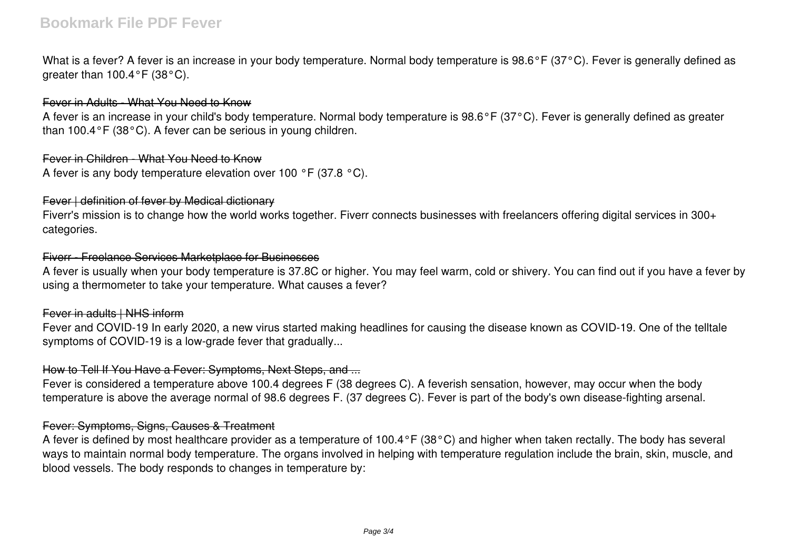# **Bookmark File PDF Fever**

What is a fever? A fever is an increase in your body temperature. Normal body temperature is 98.6°F (37°C). Fever is generally defined as greater than 100.4°F (38°C).

#### Fever in Adults - What You Need to Know

A fever is an increase in your child's body temperature. Normal body temperature is 98.6°F (37°C). Fever is generally defined as greater than 100.4°F (38°C). A fever can be serious in young children.

#### Fever in Children - What You Need to Know

A fever is any body temperature elevation over 100 °F (37.8 °C).

#### Fever | definition of fever by Medical dictionary

Fiverr's mission is to change how the world works together. Fiverr connects businesses with freelancers offering digital services in 300+ categories.

#### Fiverr - Freelance Services Marketplace for Businesses

A fever is usually when your body temperature is 37.8C or higher. You may feel warm, cold or shivery. You can find out if you have a fever by using a thermometer to take your temperature. What causes a fever?

#### Fever in adults | NHS inform

Fever and COVID-19 In early 2020, a new virus started making headlines for causing the disease known as COVID-19. One of the telltale symptoms of COVID-19 is a low-grade fever that gradually...

#### How to Tell If You Have a Fever: Symptoms, Next Steps, and ...

Fever is considered a temperature above 100.4 degrees F (38 degrees C). A feverish sensation, however, may occur when the body temperature is above the average normal of 98.6 degrees F. (37 degrees C). Fever is part of the body's own disease-fighting arsenal.

#### Fever: Symptoms, Signs, Causes & Treatment

A fever is defined by most healthcare provider as a temperature of 100.4°F (38°C) and higher when taken rectally. The body has several ways to maintain normal body temperature. The organs involved in helping with temperature regulation include the brain, skin, muscle, and blood vessels. The body responds to changes in temperature by: